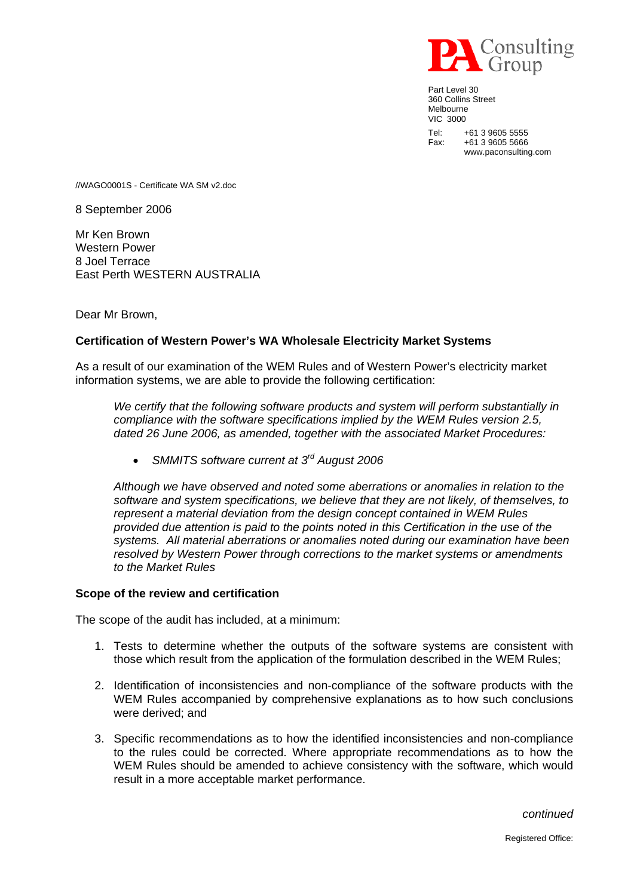

Part Level 30 360 Collins Street Melbourne VIC 3000 Tel: +61 3 9605 5555 Fax: +61 3 9605 5666 www.paconsulting.com

//WAGO0001S - Certificate WA SM v2.doc

8 September 2006

Mr Ken Brown Western Power 8 Joel Terrace East Perth WESTERN AUSTRALIA

Dear Mr Brown,

## **Certification of Western Power's WA Wholesale Electricity Market Systems**

As a result of our examination of the WEM Rules and of Western Power's electricity market information systems, we are able to provide the following certification:

*We certify that the following software products and system will perform substantially in compliance with the software specifications implied by the WEM Rules version 2.5, dated 26 June 2006, as amended, together with the associated Market Procedures:* 

• *SMMITS software current at 3rd August 2006* 

*Although we have observed and noted some aberrations or anomalies in relation to the software and system specifications, we believe that they are not likely, of themselves, to represent a material deviation from the design concept contained in WEM Rules provided due attention is paid to the points noted in this Certification in the use of the systems. All material aberrations or anomalies noted during our examination have been resolved by Western Power through corrections to the market systems or amendments to the Market Rules*

## **Scope of the review and certification**

The scope of the audit has included, at a minimum:

- 1. Tests to determine whether the outputs of the software systems are consistent with those which result from the application of the formulation described in the WEM Rules;
- 2. Identification of inconsistencies and non-compliance of the software products with the WEM Rules accompanied by comprehensive explanations as to how such conclusions were derived; and
- 3. Specific recommendations as to how the identified inconsistencies and non-compliance to the rules could be corrected. Where appropriate recommendations as to how the WEM Rules should be amended to achieve consistency with the software, which would result in a more acceptable market performance.

*continued*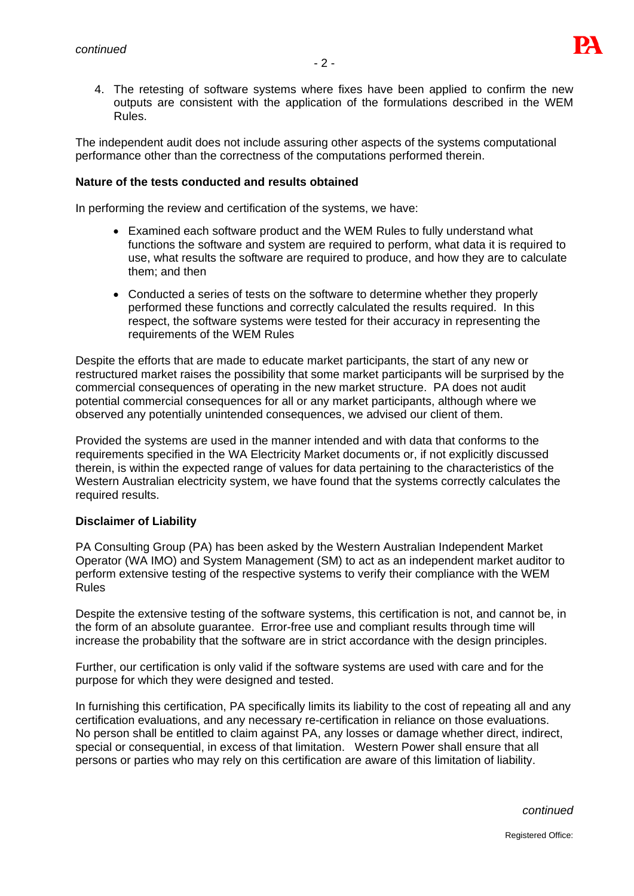

4. The retesting of software systems where fixes have been applied to confirm the new outputs are consistent with the application of the formulations described in the WEM Rules.

The independent audit does not include assuring other aspects of the systems computational performance other than the correctness of the computations performed therein.

## **Nature of the tests conducted and results obtained**

In performing the review and certification of the systems, we have:

- Examined each software product and the WEM Rules to fully understand what functions the software and system are required to perform, what data it is required to use, what results the software are required to produce, and how they are to calculate them; and then
- Conducted a series of tests on the software to determine whether they properly performed these functions and correctly calculated the results required. In this respect, the software systems were tested for their accuracy in representing the requirements of the WEM Rules

Despite the efforts that are made to educate market participants, the start of any new or restructured market raises the possibility that some market participants will be surprised by the commercial consequences of operating in the new market structure. PA does not audit potential commercial consequences for all or any market participants, although where we observed any potentially unintended consequences, we advised our client of them.

Provided the systems are used in the manner intended and with data that conforms to the requirements specified in the WA Electricity Market documents or, if not explicitly discussed therein, is within the expected range of values for data pertaining to the characteristics of the Western Australian electricity system, we have found that the systems correctly calculates the required results.

## **Disclaimer of Liability**

PA Consulting Group (PA) has been asked by the Western Australian Independent Market Operator (WA IMO) and System Management (SM) to act as an independent market auditor to perform extensive testing of the respective systems to verify their compliance with the WEM Rules

Despite the extensive testing of the software systems, this certification is not, and cannot be, in the form of an absolute guarantee. Error-free use and compliant results through time will increase the probability that the software are in strict accordance with the design principles.

Further, our certification is only valid if the software systems are used with care and for the purpose for which they were designed and tested.

In furnishing this certification, PA specifically limits its liability to the cost of repeating all and any certification evaluations, and any necessary re-certification in reliance on those evaluations. No person shall be entitled to claim against PA, any losses or damage whether direct, indirect, special or consequential, in excess of that limitation. Western Power shall ensure that all persons or parties who may rely on this certification are aware of this limitation of liability.

*continued*

Registered Office: